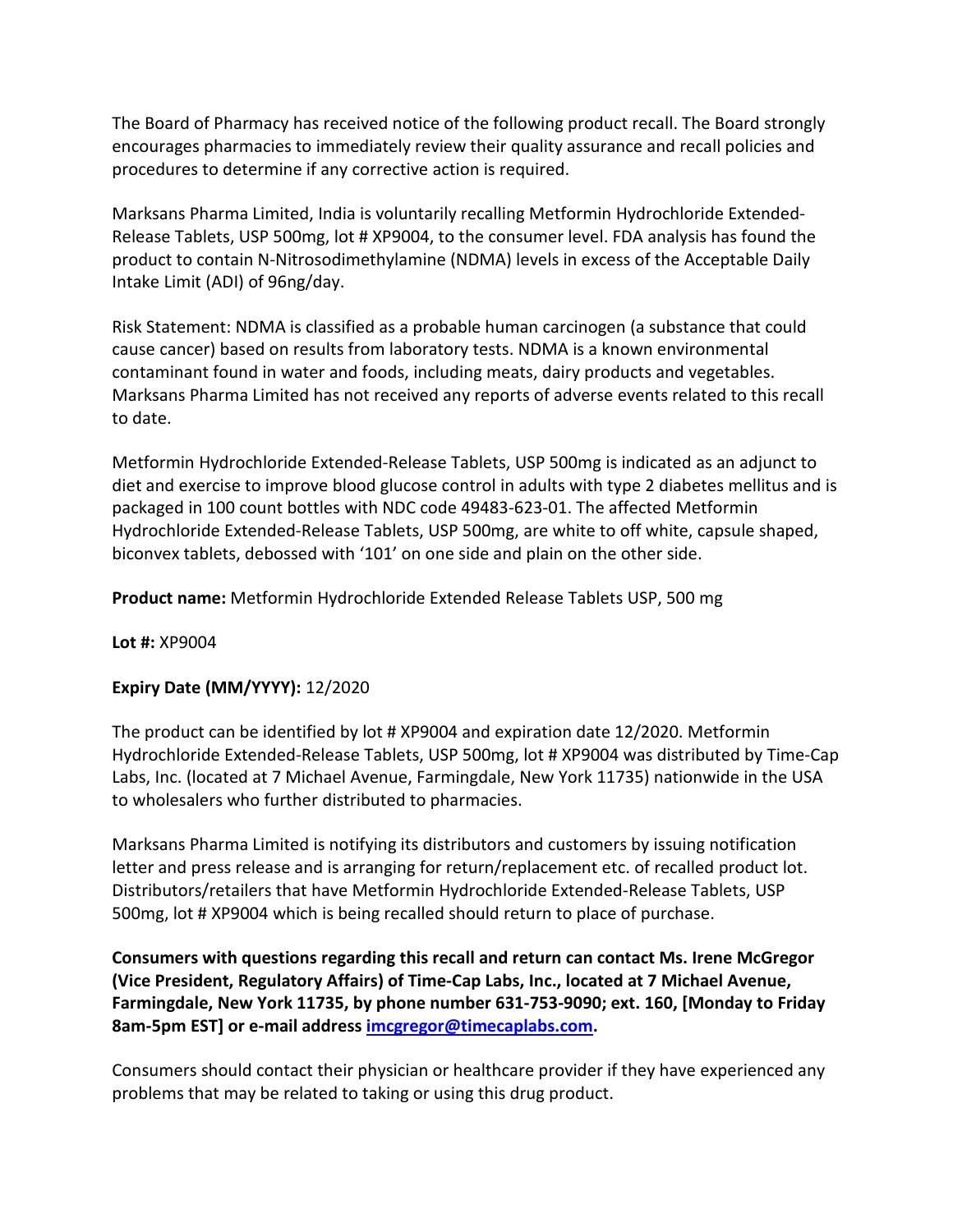The Board of Pharmacy has received notice of the following product recall. The Board strongly encourages pharmacies to immediately review their quality assurance and recall policies and procedures to determine if any corrective action is required.

 Marksans Pharma Limited, India is voluntarily recalling Metformin Hydrochloride Extended- Release Tablets, USP 500mg, lot # XP9004, to the consumer level. FDA analysis has found the product to contain N-Nitrosodimethylamine (NDMA) levels in excess of the Acceptable Daily Intake Limit (ADI) of 96ng/day.

 Risk Statement: NDMA is classified as a probable human carcinogen (a substance that could contaminant found in water and foods, including meats, dairy products and vegetables. Marksans Pharma Limited has not received any reports of adverse events related to this recall cause cancer) based on results from laboratory tests. NDMA is a known environmental to date.

 diet and exercise to improve blood glucose control in adults with type 2 diabetes mellitus and is biconvex tablets, debossed with '101' on one side and plain on the other side. Metformin Hydrochloride Extended-Release Tablets, USP 500mg is indicated as an adjunct to packaged in 100 count bottles with NDC code 49483-623-01. The affected Metformin Hydrochloride Extended-Release Tablets, USP 500mg, are white to off white, capsule shaped,

**Product name:** Metformin Hydrochloride Extended Release Tablets USP, 500 mg

**Lot #:** XP9004

## **Expiry Date (MM/YYYY):** 12/2020

 Labs, Inc. (located at 7 Michael Avenue, Farmingdale, New York 11735) nationwide in the USA to wholesalers who further distributed to pharmacies. The product can be identified by lot # XP9004 and expiration date 12/2020. Metformin Hydrochloride Extended-Release Tablets, USP 500mg, lot # XP9004 was distributed by Time-Cap

 Marksans Pharma Limited is notifying its distributors and customers by issuing notification letter and press release and is arranging for return/replacement etc. of recalled product lot. Distributors/retailers that have Metformin Hydrochloride Extended-Release Tablets, USP 500mg, lot # XP9004 which is being recalled should return to place of purchase.

 **Farmingdale, New York 11735, by phone number 631-753-9090; ext. 160, [Monday to Friday Consumers with questions regarding this recall and return can contact Ms. Irene McGregor (Vice President, Regulatory Affairs) of Time-Cap Labs, Inc., located at 7 Michael Avenue, 8am-5pm EST] or e-mail address [imcgregor@timecaplabs.com.](mailto:imcgregor@timecaplabs.com)** 

 Consumers should contact their physician or healthcare provider if they have experienced any problems that may be related to taking or using this drug product.